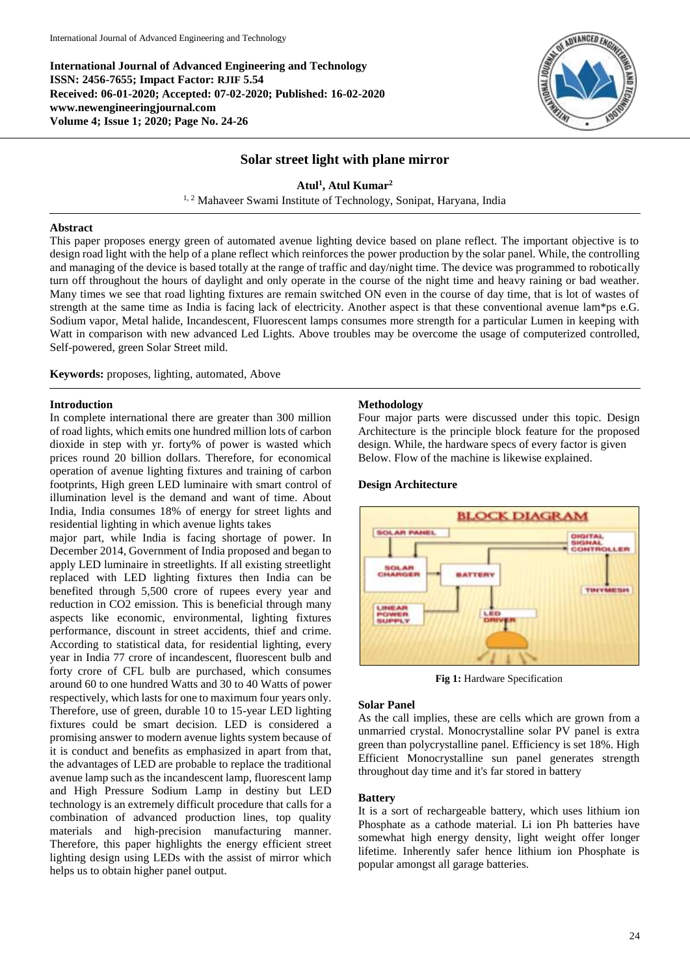**International Journal of Advanced Engineering and Technology ISSN: 2456-7655; Impact Factor: RJIF 5.54 Received: 06-01-2020; Accepted: 07-02-2020; Published: 16-02-2020 www.newengineeringjournal.com Volume 4; Issue 1; 2020; Page No. 24-26**



## **Solar street light with plane mirror**

# **Atul<sup>1</sup> , Atul Kumar<sup>2</sup>**

<sup>1, 2</sup> Mahaveer Swami Institute of Technology, Sonipat, Haryana, India

### **Abstract**

This paper proposes energy green of automated avenue lighting device based on plane reflect. The important objective is to design road light with the help of a plane reflect which reinforces the power production by the solar panel. While, the controlling and managing of the device is based totally at the range of traffic and day/night time. The device was programmed to robotically turn off throughout the hours of daylight and only operate in the course of the night time and heavy raining or bad weather. Many times we see that road lighting fixtures are remain switched ON even in the course of day time, that is lot of wastes of strength at the same time as India is facing lack of electricity. Another aspect is that these conventional avenue lam\*ps e.G. Sodium vapor, Metal halide, Incandescent, Fluorescent lamps consumes more strength for a particular Lumen in keeping with Watt in comparison with new advanced Led Lights. Above troubles may be overcome the usage of computerized controlled, Self-powered, green Solar Street mild.

**Keywords:** proposes, lighting, automated, Above

### **Introduction**

In complete international there are greater than 300 million of road lights, which emits one hundred million lots of carbon dioxide in step with yr. forty% of power is wasted which prices round 20 billion dollars. Therefore, for economical operation of avenue lighting fixtures and training of carbon footprints, High green LED luminaire with smart control of illumination level is the demand and want of time. About India, India consumes 18% of energy for street lights and residential lighting in which avenue lights takes

major part, while India is facing shortage of power. In December 2014, Government of India proposed and began to apply LED luminaire in streetlights. If all existing streetlight replaced with LED lighting fixtures then India can be benefited through 5,500 crore of rupees every year and reduction in CO2 emission. This is beneficial through many aspects like economic, environmental, lighting fixtures performance, discount in street accidents, thief and crime. According to statistical data, for residential lighting, every year in India 77 crore of incandescent, fluorescent bulb and forty crore of CFL bulb are purchased, which consumes around 60 to one hundred Watts and 30 to 40 Watts of power respectively, which lasts for one to maximum four years only. Therefore, use of green, durable 10 to 15-year LED lighting fixtures could be smart decision. LED is considered a promising answer to modern avenue lights system because of it is conduct and benefits as emphasized in apart from that, the advantages of LED are probable to replace the traditional avenue lamp such as the incandescent lamp, fluorescent lamp and High Pressure Sodium Lamp in destiny but LED technology is an extremely difficult procedure that calls for a combination of advanced production lines, top quality materials and high-precision manufacturing manner. Therefore, this paper highlights the energy efficient street lighting design using LEDs with the assist of mirror which helps us to obtain higher panel output.

### **Methodology**

Four major parts were discussed under this topic. Design Architecture is the principle block feature for the proposed design. While, the hardware specs of every factor is given Below. Flow of the machine is likewise explained.



**Design Architecture**

**Fig 1:** Hardware Specification

## **Solar Panel**

As the call implies, these are cells which are grown from a unmarried crystal. Monocrystalline solar PV panel is extra green than polycrystalline panel. Efficiency is set 18%. High Efficient Monocrystalline sun panel generates strength throughout day time and it's far stored in battery

### **Battery**

It is a sort of rechargeable battery, which uses lithium ion Phosphate as a cathode material. Li ion Ph batteries have somewhat high energy density, light weight offer longer lifetime. Inherently safer hence lithium ion Phosphate is popular amongst all garage batteries.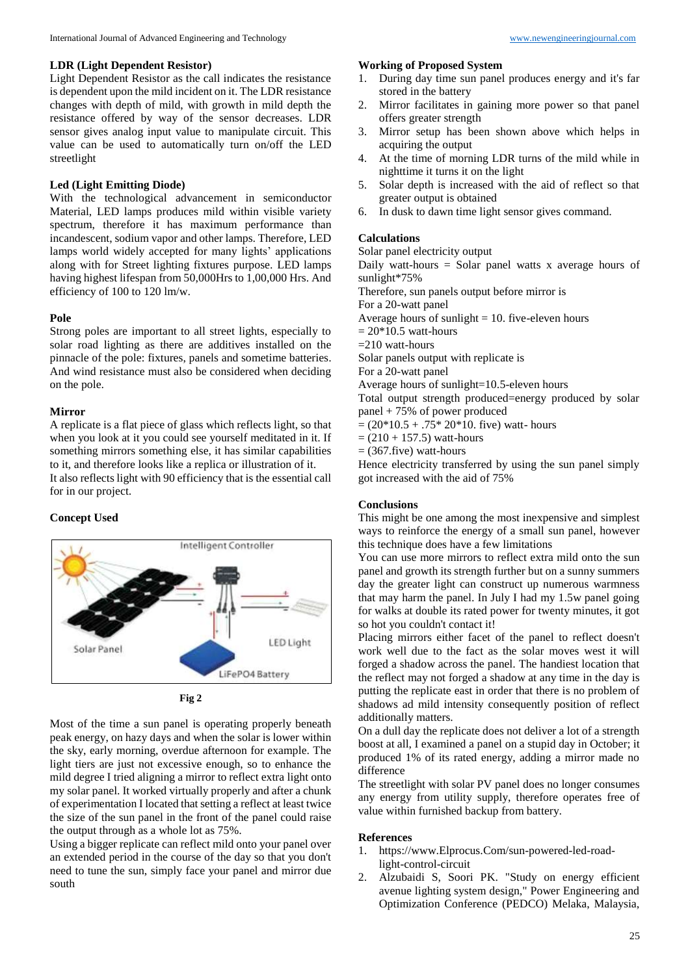### **LDR (Light Dependent Resistor)**

Light Dependent Resistor as the call indicates the resistance is dependent upon the mild incident on it. The LDR resistance changes with depth of mild, with growth in mild depth the resistance offered by way of the sensor decreases. LDR sensor gives analog input value to manipulate circuit. This value can be used to automatically turn on/off the LED streetlight

## **Led (Light Emitting Diode)**

With the technological advancement in semiconductor Material, LED lamps produces mild within visible variety spectrum, therefore it has maximum performance than incandescent, sodium vapor and other lamps. Therefore, LED lamps world widely accepted for many lights' applications along with for Street lighting fixtures purpose. LED lamps having highest lifespan from 50,000Hrs to 1,00,000 Hrs. And efficiency of 100 to 120 lm/w.

#### **Pole**

Strong poles are important to all street lights, especially to solar road lighting as there are additives installed on the pinnacle of the pole: fixtures, panels and sometime batteries. And wind resistance must also be considered when deciding on the pole.

### **Mirror**

A replicate is a flat piece of glass which reflects light, so that when you look at it you could see yourself meditated in it. If something mirrors something else, it has similar capabilities to it, and therefore looks like a replica or illustration of it. It also reflects light with 90 efficiency that is the essential call for in our project.

### **Concept Used**



**Fig 2**

Most of the time a sun panel is operating properly beneath peak energy, on hazy days and when the solar is lower within the sky, early morning, overdue afternoon for example. The light tiers are just not excessive enough, so to enhance the mild degree I tried aligning a mirror to reflect extra light onto my solar panel. It worked virtually properly and after a chunk of experimentation I located that setting a reflect at least twice the size of the sun panel in the front of the panel could raise the output through as a whole lot as 75%.

Using a bigger replicate can reflect mild onto your panel over an extended period in the course of the day so that you don't need to tune the sun, simply face your panel and mirror due south

### **Working of Proposed System**

- 1. During day time sun panel produces energy and it's far stored in the battery
- 2. Mirror facilitates in gaining more power so that panel offers greater strength
- 3. Mirror setup has been shown above which helps in acquiring the output
- 4. At the time of morning LDR turns of the mild while in nighttime it turns it on the light
- 5. Solar depth is increased with the aid of reflect so that greater output is obtained
- 6. In dusk to dawn time light sensor gives command.

### **Calculations**

Solar panel electricity output

Daily watt-hours = Solar panel watts x average hours of sunlight\*75%

Therefore, sun panels output before mirror is

For a 20-watt panel

Average hours of sunlight  $= 10$ . five-eleven hours

 $= 20*10.5$  watt-hours

 $=210$  watt-hours

Solar panels output with replicate is

For a 20-watt panel

Average hours of sunlight=10.5-eleven hours

Total output strength produced=energy produced by solar panel + 75% of power produced

 $= (20*10.5 + .75*20*10.$  five) watt-hours

 $= (210 + 157.5)$  watt-hours

 $=$  (367.five) watt-hours

Hence electricity transferred by using the sun panel simply got increased with the aid of 75%

# **Conclusions**

This might be one among the most inexpensive and simplest ways to reinforce the energy of a small sun panel, however this technique does have a few limitations

You can use more mirrors to reflect extra mild onto the sun panel and growth its strength further but on a sunny summers day the greater light can construct up numerous warmness that may harm the panel. In July I had my 1.5w panel going for walks at double its rated power for twenty minutes, it got so hot you couldn't contact it!

Placing mirrors either facet of the panel to reflect doesn't work well due to the fact as the solar moves west it will forged a shadow across the panel. The handiest location that the reflect may not forged a shadow at any time in the day is putting the replicate east in order that there is no problem of shadows ad mild intensity consequently position of reflect additionally matters.

On a dull day the replicate does not deliver a lot of a strength boost at all, I examined a panel on a stupid day in October; it produced 1% of its rated energy, adding a mirror made no difference

The streetlight with solar PV panel does no longer consumes any energy from utility supply, therefore operates free of value within furnished backup from battery.

#### **References**

- 1. https://www.Elprocus.Com/sun-powered-led-roadlight-control-circuit
- 2. Alzubaidi S, Soori PK. "Study on energy efficient avenue lighting system design," Power Engineering and Optimization Conference (PEDCO) Melaka, Malaysia,